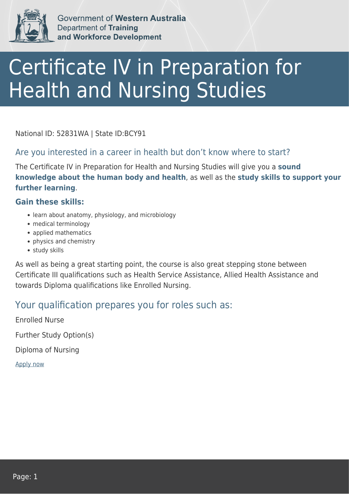

Government of Western Australia **Department of Training** and Workforce Development

# Certificate IV in Preparation for Health and Nursing Studies

National ID: 52831WA | State ID:BCY91

### Are you interested in a career in health but don't know where to start?

The Certificate IV in Preparation for Health and Nursing Studies will give you a **sound knowledge about the human body and health**, as well as the **study skills to support your further learning**.

#### **Gain these skills:**

- learn about anatomy, physiology, and microbiology
- medical terminology
- applied mathematics
- physics and chemistry
- study skills

As well as being a great starting point, the course is also great stepping stone between Certificate III qualifications such as Health Service Assistance, Allied Health Assistance and towards Diploma qualifications like Enrolled Nursing.

## Your qualification prepares you for roles such as:

Enrolled Nurse Further Study Option(s) Diploma of Nursing [Apply now](https://tasonline.tafe.wa.edu.au/Default.aspx)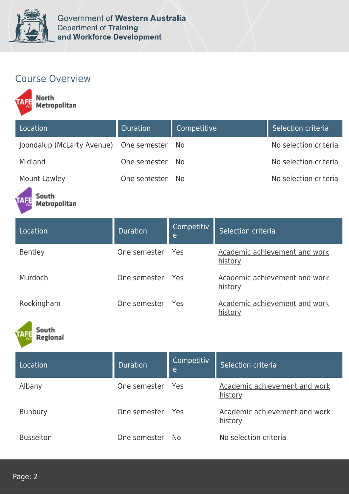

# Course Overview

North<br>Metropolitan

| Location                                | <b>Duration</b> | Competitive | Selection criteria    |
|-----------------------------------------|-----------------|-------------|-----------------------|
| Joondalup (McLarty Avenue) One semester |                 | - No        | No selection criteria |
| Midland                                 | One semester    | - No        | No selection criteria |
| Mount Lawley                            | One semester    | No.         | No selection criteria |

#### South Metropolitan

| Location       | <b>Duration</b>  | Competitiv<br>e | Selection criteria                       |
|----------------|------------------|-----------------|------------------------------------------|
| <b>Bentley</b> | One semester Yes |                 | Academic achievement and work<br>history |
| Murdoch        | One semester Yes |                 | Academic achievement and work<br>history |
| Rockingham     | One semester     | - Yes           | Academic achievement and work<br>history |



| Location         | Duration         | Competitiv<br>e | Selection criteria                       |
|------------------|------------------|-----------------|------------------------------------------|
| Albany           | One semester Yes |                 | Academic achievement and work<br>history |
| <b>Bunbury</b>   | One semester Yes |                 | Academic achievement and work<br>history |
| <b>Busselton</b> | One semester     | No.             | No selection criteria                    |